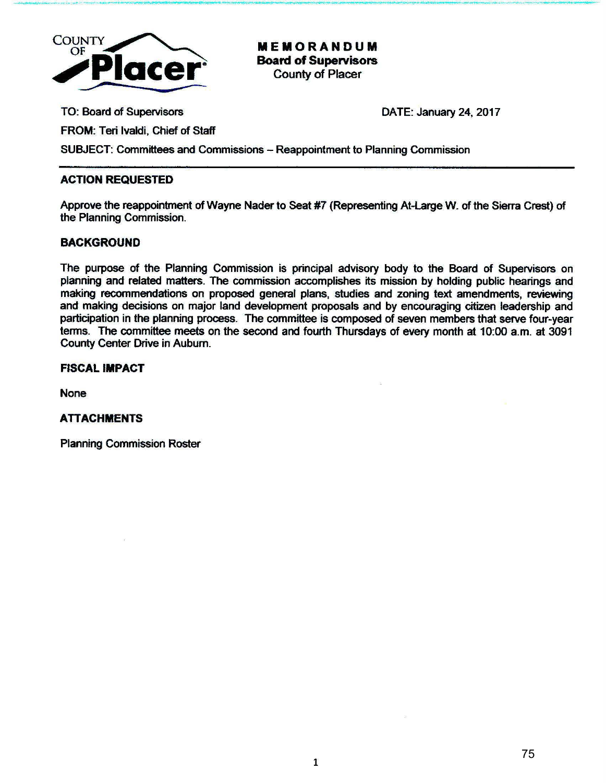

MEMORANDUM Board of Supervisors County of Placer

........,...\_ .• ,.... .. ....\_~ \_.\_\_ ,\_, \_\_\_\_ """'w-.--. \_\_ .. \_\_ ...,., ... , - -· ,\_\ """'-· -··---·-<1'1· .- .. ,.--R!'I'...:w~·----"-' \_.\_\_.,.., -.. ~'\*-• \_ \_ ,.............,..\_ ... \_ ... \_.\_.......,. \_\_\_ M -

TO: Board of Supervisors

DATE: January 24, 2017

FROM: Teri lvaldi, Chief of Staff

SUBJECT: Committees and Commissions - Reappointment to Planning Commission

# ACTION REQUESTED

Approve the reappointment of Wayne Nader to Seat #7 (Representing At-large W. of the Sierra Crest) of the Planning Commission.

# BACKGROUND

The purpose of the Planning Commission is principal advisory body to the Board of Supervisors on planning and related matters. The commission accomplishes its mission by holding public hearings and making recommendations on proposed general plans, studies and zoning text amendments, reviewing and making decisions on major land development proposals and by encouraging citizen leadership and participation in the planning process. The committee is composed of seven members that serve four-year terms. The committee meets on the second and fourth Thursdays of every month at 10:00 a.m. at 3091 County Center Drive in Auburn.

# FISCAL IMPACT

None

# ATTACHMENTS

Planning Commission Roster